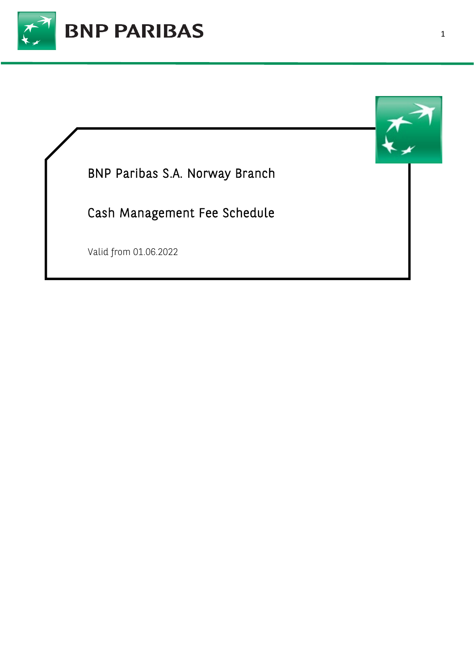

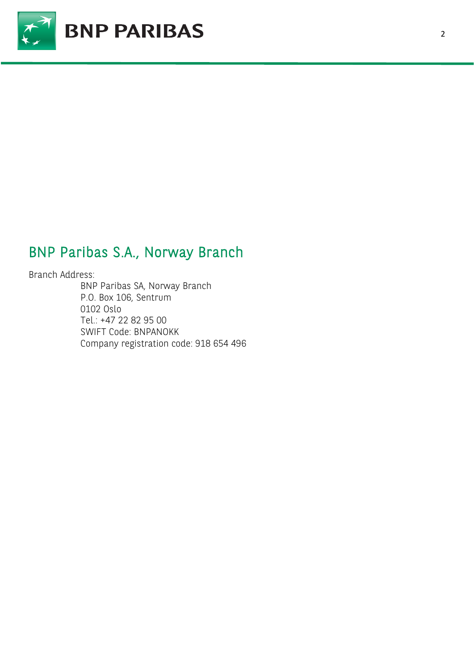

## BNP Paribas S.A., Norway Branch

Branch Address:

BNP Paribas SA, Norway Branch P.O. Box 106, Sentrum 0102 Oslo Tel.: +47 22 82 95 00 SWIFT Code: BNPANOKK Company registration code: 918 654 496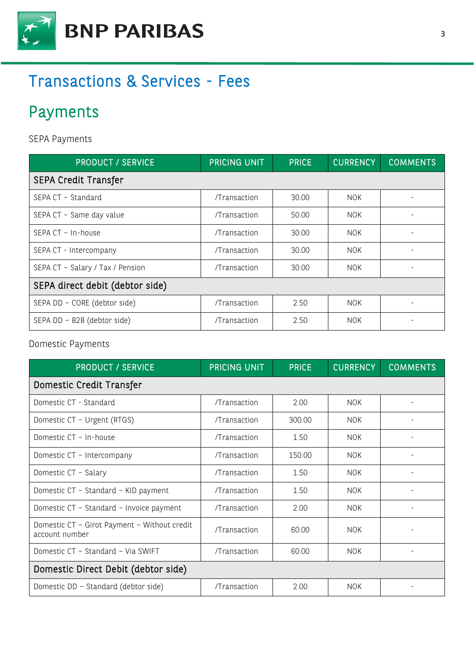

# Transactions & Services - Fees

# Payments

SEPA Payments

| <b>PRODUCT / SERVICE</b>         | PRICING UNIT | <b>PRICE</b> | <b>CURRENCY</b> | <b>COMMENTS</b> |  |  |
|----------------------------------|--------------|--------------|-----------------|-----------------|--|--|
| <b>SEPA Credit Transfer</b>      |              |              |                 |                 |  |  |
| SEPA CT - Standard               | /Transaction | 30.00        | <b>NOK</b>      |                 |  |  |
| SEPA CT - Same day value         | /Transaction | 50.00        | <b>NOK</b>      |                 |  |  |
| SEPA CT - In-house               | /Transaction | 30.00        | <b>NOK</b>      |                 |  |  |
| SEPA CT - Intercompany           | /Transaction | 30.00        | <b>NOK</b>      |                 |  |  |
| SEPA CT - Salary / Tax / Pension | /Transaction | 30.00        | <b>NOK</b>      |                 |  |  |
| SEPA direct debit (debtor side)  |              |              |                 |                 |  |  |
| SEPA DD - CORE (debtor side)     | /Transaction | 2.50         | <b>NOK</b>      |                 |  |  |
| SEPA DD - B2B (debtor side)      | /Transaction | 2.50         | <b>NOK</b>      |                 |  |  |

#### Domestic Payments

| <b>PRODUCT / SERVICE</b>                                       | PRICING UNIT | <b>PRICE</b> | <b>CURRENCY</b> | <b>COMMENTS</b> |
|----------------------------------------------------------------|--------------|--------------|-----------------|-----------------|
| Domestic Credit Transfer                                       |              |              |                 |                 |
| Domestic CT - Standard                                         | /Transaction | 2.00         | <b>NOK</b>      |                 |
| Domestic CT - Urgent (RTGS)                                    | /Transaction | 300.00       | <b>NOK</b>      |                 |
| Domestic CT - In-house                                         | /Transaction | 1.50         | <b>NOK</b>      |                 |
| Domestic CT - Intercompany                                     | /Transaction | 150.00       | <b>NOK</b>      |                 |
| Domestic CT - Salary                                           | /Transaction | 1.50         | <b>NOK</b>      |                 |
| Domestic CT - Standard - KID payment                           | /Transaction | 1.50         | <b>NOK</b>      |                 |
| Domestic CT - Standard - Invoice payment                       | /Transaction | 2.00         | <b>NOK</b>      |                 |
| Domestic CT - Girot Payment - Without credit<br>account number | /Transaction | 60.00        | <b>NOK</b>      |                 |
| Domestic CT - Standard - Via SWIFT                             | /Transaction | 60.00        | <b>NOK</b>      |                 |
| Domestic Direct Debit (debtor side)                            |              |              |                 |                 |
| Domestic DD - Standard (debtor side)                           | /Transaction | 2.00         | <b>NOK</b>      |                 |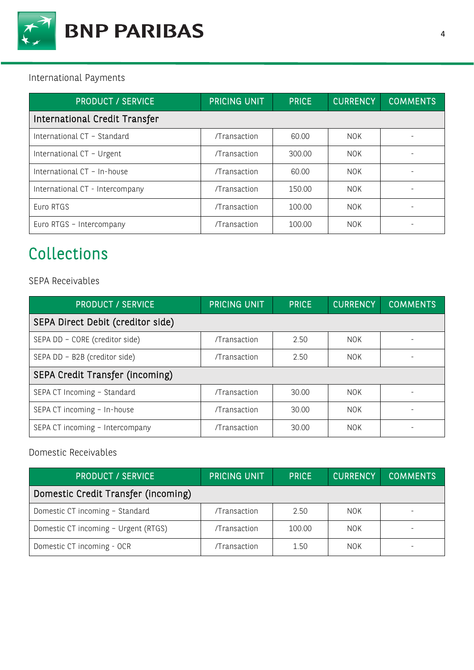

### International Payments

| <b>PRODUCT / SERVICE</b>        | <b>PRICING UNIT</b> | <b>PRICE</b> | <b>CURRENCY</b> | <b>COMMENTS</b> |  |  |
|---------------------------------|---------------------|--------------|-----------------|-----------------|--|--|
| International Credit Transfer   |                     |              |                 |                 |  |  |
| International CT - Standard     | /Transaction        | 60.00        | <b>NOK</b>      |                 |  |  |
| International CT - Urgent       | /Transaction        | 300.00       | <b>NOK</b>      |                 |  |  |
| International CT - In-house     | /Transaction        | 60.00        | <b>NOK</b>      |                 |  |  |
| International CT - Intercompany | /Transaction        | 150.00       | <b>NOK</b>      |                 |  |  |
| Euro RTGS                       | /Transaction        | 100.00       | <b>NOK</b>      |                 |  |  |
| Euro RTGS - Intercompany        | /Transaction        | 100.00       | <b>NOK</b>      |                 |  |  |

# Collections

#### SEPA Receivables

| <b>PRODUCT / SERVICE</b>          | <b>PRICING UNIT</b> | <b>PRICE</b> | <b>CURRENCY</b> | <b>COMMENTS</b> |
|-----------------------------------|---------------------|--------------|-----------------|-----------------|
| SEPA Direct Debit (creditor side) |                     |              |                 |                 |
| SEPA DD - CORE (creditor side)    | /Transaction        | 2.50         | <b>NOK</b>      |                 |
| SEPA DD - B2B (creditor side)     | /Transaction        | 2.50         | NOK.            |                 |
| SEPA Credit Transfer (incoming)   |                     |              |                 |                 |
| SEPA CT Incoming - Standard       | /Transaction        | 30.00        | <b>NOK</b>      |                 |
| SEPA CT incoming - In-house       | /Transaction        | 30.00        | <b>NOK</b>      |                 |
| SEPA CT incoming - Intercompany   | /Transaction        | 30.00        | <b>NOK</b>      |                 |

### Domestic Receivables

| <b>PRODUCT / SERVICE</b>             | <b>PRICING UNIT</b> | <b>PRICE</b> | <b>CURRENCY</b> | <b>COMMENTS</b> |
|--------------------------------------|---------------------|--------------|-----------------|-----------------|
| Domestic Credit Transfer (incoming)  |                     |              |                 |                 |
| Domestic CT incoming - Standard      | /Transaction        | 2.50         | <b>NOK</b>      |                 |
| Domestic CT incoming - Urgent (RTGS) | /Transaction        | 100.00       | <b>NOK</b>      |                 |
| Domestic CT incoming - OCR           | /Transaction        | 1.50         | <b>NOK</b>      |                 |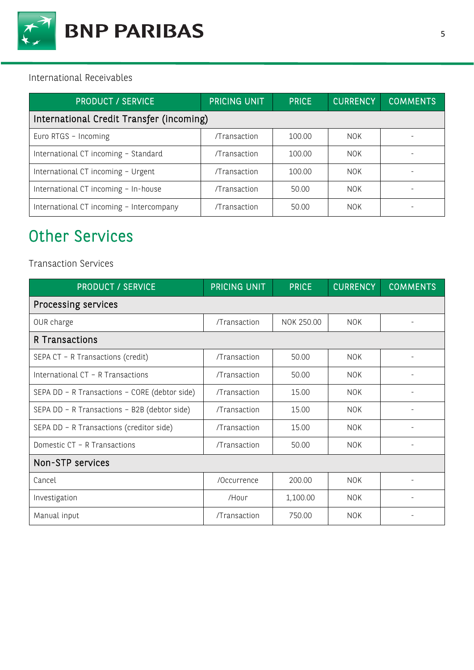

#### International Receivables

| <b>PRODUCT / SERVICE</b>                 | PRICING UNIT | <b>PRICE</b> | <b>CURRENCY</b> | <b>COMMENTS</b> |  |
|------------------------------------------|--------------|--------------|-----------------|-----------------|--|
| International Credit Transfer (incoming) |              |              |                 |                 |  |
| Euro RTGS - Incoming                     | /Transaction | 100.00       | <b>NOK</b>      |                 |  |
| International CT incoming - Standard     | /Transaction | 100.00       | <b>NOK</b>      |                 |  |
| International CT incoming - Urgent       | /Transaction | 100.00       | <b>NOK</b>      |                 |  |
| International CT incoming - In-house     | /Transaction | 50.00        | NOK.            |                 |  |
| International CT incoming - Intercompany | /Transaction | 50.00        | <b>NOK</b>      |                 |  |

# Other Services

### Transaction Services

| <b>PRODUCT / SERVICE</b>                      | <b>PRICING UNIT</b> | <b>PRICE</b> | <b>CURRENCY</b> | <b>COMMENTS</b>          |  |  |
|-----------------------------------------------|---------------------|--------------|-----------------|--------------------------|--|--|
| Processing services                           |                     |              |                 |                          |  |  |
| OUR charge                                    | /Transaction        | NOK 250.00   | <b>NOK</b>      | $\overline{\phantom{a}}$ |  |  |
| R Transactions                                |                     |              |                 |                          |  |  |
| SEPA CT - R Transactions (credit)             | /Transaction        | 50.00        | <b>NOK</b>      |                          |  |  |
| International CT - R Transactions             | /Transaction        | 50.00        | <b>NOK</b>      |                          |  |  |
| SEPA DD - R Transactions - CORE (debtor side) | /Transaction        | 15.00        | <b>NOK</b>      |                          |  |  |
| SEPA DD - R Transactions - B2B (debtor side)  | /Transaction        | 15.00        | <b>NOK</b>      |                          |  |  |
| SEPA DD - R Transactions (creditor side)      | /Transaction        | 15.00        | <b>NOK</b>      |                          |  |  |
| Domestic CT - R Transactions                  | /Transaction        | 50.00        | <b>NOK</b>      |                          |  |  |
| Non-STP services                              |                     |              |                 |                          |  |  |
| Cancel                                        | /Occurrence         | 200.00       | <b>NOK</b>      |                          |  |  |
| Investigation                                 | /Hour               | 1,100.00     | <b>NOK</b>      |                          |  |  |
| Manual input                                  | /Transaction        | 750.00       | <b>NOK</b>      |                          |  |  |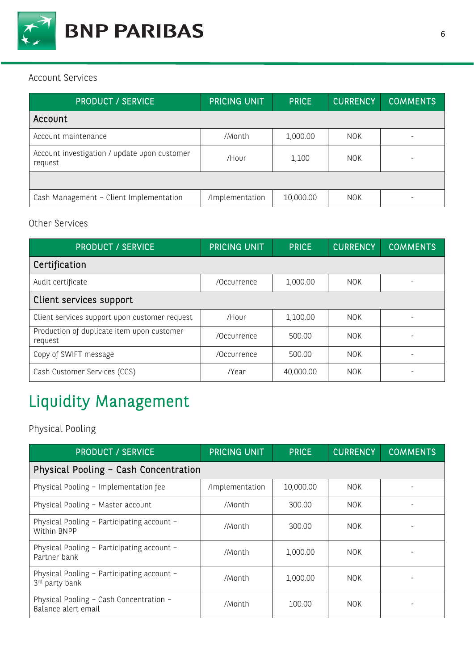

#### Account Services

| <b>PRODUCT / SERVICE</b>                                | <b>PRICING UNIT</b> | <b>PRICE</b> | <b>CURRENCY</b> | <b>COMMENTS</b> |
|---------------------------------------------------------|---------------------|--------------|-----------------|-----------------|
| Account                                                 |                     |              |                 |                 |
| Account maintenance                                     | /Month              | 1,000.00     | <b>NOK</b>      |                 |
| Account investigation / update upon customer<br>request | /Hour               | 1,100        | <b>NOK</b>      |                 |
|                                                         |                     |              |                 |                 |
| Cash Management - Client Implementation                 | /Implementation     | 10,000.00    | <b>NOK</b>      |                 |

### Other Services

| <b>PRODUCT / SERVICE</b>                              | PRICING UNIT | <b>PRICE</b> | <b>CURRENCY</b> | <b>COMMENTS</b> |  |
|-------------------------------------------------------|--------------|--------------|-----------------|-----------------|--|
| Certification                                         |              |              |                 |                 |  |
| Audit certificate                                     | /Occurrence  | 1,000.00     | <b>NOK</b>      |                 |  |
| Client services support                               |              |              |                 |                 |  |
| Client services support upon customer request         | /Hour        | 1,100.00     | <b>NOK</b>      |                 |  |
| Production of duplicate item upon customer<br>request | /Occurrence  | 500.00       | <b>NOK</b>      |                 |  |
| Copy of SWIFT message                                 | /Occurrence  | 500.00       | <b>NOK</b>      |                 |  |
| Cash Customer Services (CCS)                          | /Year        | 40,000.00    | <b>NOK</b>      |                 |  |

# Liquidity Management

## Physical Pooling

| <b>PRODUCT / SERVICE</b>                                       | PRICING UNIT    | <b>PRICE</b> | <b>CURRENCY</b> | <b>COMMENTS</b> |
|----------------------------------------------------------------|-----------------|--------------|-----------------|-----------------|
| Physical Pooling - Cash Concentration                          |                 |              |                 |                 |
| Physical Pooling - Implementation fee                          | /Implementation | 10,000.00    | <b>NOK</b>      |                 |
| Physical Pooling - Master account                              | /Month          | 300.00       | <b>NOK</b>      |                 |
| Physical Pooling - Participating account -<br>Within BNPP      | /Month          | 300.00       | <b>NOK</b>      |                 |
| Physical Pooling - Participating account -<br>Partner bank     | /Month          | 1,000.00     | <b>NOK</b>      |                 |
| Physical Pooling - Participating account -<br>3rd party bank   | /Month          | 1,000.00     | <b>NOK</b>      |                 |
| Physical Pooling - Cash Concentration -<br>Balance alert email | /Month          | 100.00       | <b>NOK</b>      |                 |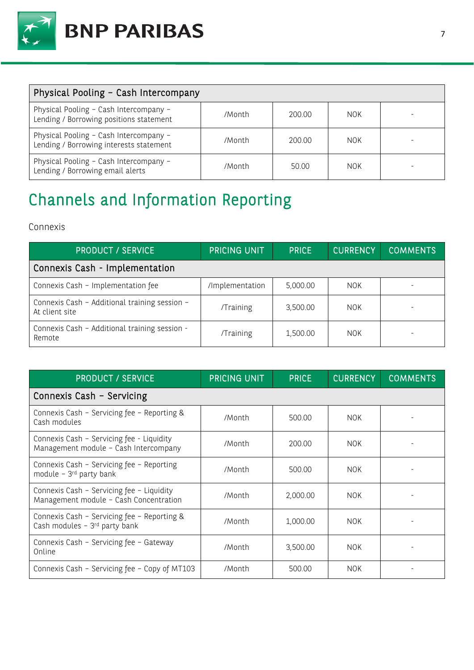

| Physical Pooling - Cash Intercompany                                              |        |        |            |  |
|-----------------------------------------------------------------------------------|--------|--------|------------|--|
| Physical Pooling - Cash Intercompany -<br>Lending / Borrowing positions statement | /Month | 200.00 | <b>NOK</b> |  |
| Physical Pooling - Cash Intercompany -<br>Lending / Borrowing interests statement | /Month | 200.00 | NOK.       |  |
| Physical Pooling - Cash Intercompany -<br>Lending / Borrowing email alerts        | /Month | 50.00  | <b>NOK</b> |  |

# Channels and Information Reporting

### Connexis

| <b>PRODUCT / SERVICE</b>                                        | <b>PRICING UNIT</b> | <b>PRICE</b> | <b>CURRENCY</b> | <b>COMMENTS</b> |
|-----------------------------------------------------------------|---------------------|--------------|-----------------|-----------------|
| Connexis Cash - Implementation                                  |                     |              |                 |                 |
| Connexis Cash - Implementation fee                              | /Implementation     | 5,000.00     | <b>NOK</b>      |                 |
| Connexis Cash - Additional training session -<br>At client site | /Training           | 3,500.00     | <b>NOK</b>      |                 |
| Connexis Cash - Additional training session -<br>Remote         | /Training           | 1,500.00     | <b>NOK</b>      |                 |

| <b>PRODUCT / SERVICE</b>                                                            | PRICING UNIT | <b>PRICE</b> | <b>CURRENCY</b> | <b>COMMENTS</b> |
|-------------------------------------------------------------------------------------|--------------|--------------|-----------------|-----------------|
| Connexis Cash - Servicing                                                           |              |              |                 |                 |
| Connexis Cash - Servicing fee - Reporting &<br>Cash modules                         | /Month       | 500.00       | <b>NOK</b>      |                 |
| Connexis Cash - Servicing fee - Liquidity<br>Management module - Cash Intercompany  | /Month       | 200.00       | <b>NOK</b>      |                 |
| Connexis Cash - Servicing fee - Reporting<br>module - 3rd party bank                | /Month       | 500.00       | <b>NOK</b>      |                 |
| Connexis Cash - Servicing fee - Liquidity<br>Management module - Cash Concentration | /Month       | 2,000.00     | <b>NOK</b>      |                 |
| Connexis Cash - Servicing fee - Reporting &<br>Cash modules - 3rd party bank        | /Month       | 1,000.00     | <b>NOK</b>      |                 |
| Connexis Cash - Servicing fee - Gateway<br>Online                                   | /Month       | 3,500.00     | <b>NOK</b>      |                 |
| Connexis Cash - Servicing fee - Copy of MT103                                       | /Month       | 500.00       | <b>NOK</b>      |                 |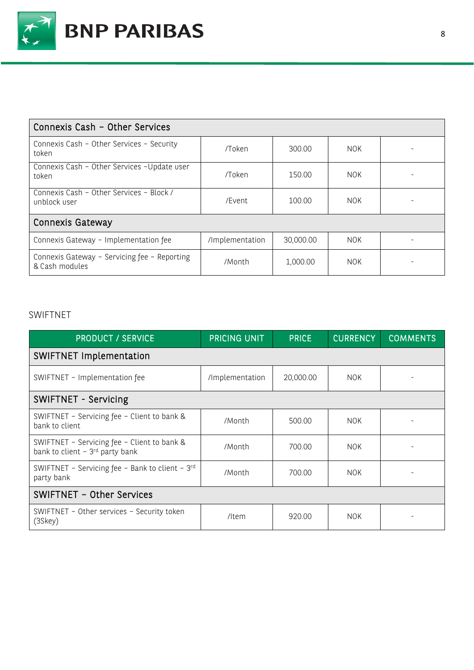

| Connexis Cash - Other Services                                 |                 |           |            |  |
|----------------------------------------------------------------|-----------------|-----------|------------|--|
| Connexis Cash - Other Services - Security<br>token             | /Token          | 300.00    | NOK.       |  |
| Connexis Cash - Other Services - Update user<br>token          | /Token          | 150.00    | <b>NOK</b> |  |
| Connexis Cash - Other Services - Block /<br>unblock user       | /Event          | 100.00    | <b>NOK</b> |  |
| Connexis Gateway                                               |                 |           |            |  |
| Connexis Gateway - Implementation fee                          | /Implementation | 30,000.00 | <b>NOK</b> |  |
| Connexis Gateway - Servicing fee - Reporting<br>& Cash modules | /Month          | 1,000.00  | <b>NOK</b> |  |

### SWIFTNET

| <b>PRODUCT / SERVICE</b>                                                                    | PRICING UNIT    | <b>PRICE</b> | <b>CURRENCY</b> | <b>COMMENTS</b> |
|---------------------------------------------------------------------------------------------|-----------------|--------------|-----------------|-----------------|
| <b>SWIFTNET Implementation</b>                                                              |                 |              |                 |                 |
| SWIFTNET - Implementation fee                                                               | /Implementation | 20,000.00    | <b>NOK</b>      |                 |
| SWIFTNET - Servicing                                                                        |                 |              |                 |                 |
| SWIFTNET - Servicing fee - Client to bank &<br>bank to client                               | /Month          | 500.00       | <b>NOK</b>      |                 |
| SWIFTNET - Servicing fee - Client to bank &<br>bank to client $-3$ <sup>rd</sup> party bank | /Month          | 700.00       | <b>NOK</b>      |                 |
| SWIFTNET - Servicing fee - Bank to client - 3rd<br>party bank                               | /Month          | 700.00       | <b>NOK</b>      |                 |
| SWIFTNET - Other Services                                                                   |                 |              |                 |                 |
| SWIFTNET - Other services - Security token<br>(3Skey)                                       | /Item           | 920.00       | <b>NOK</b>      |                 |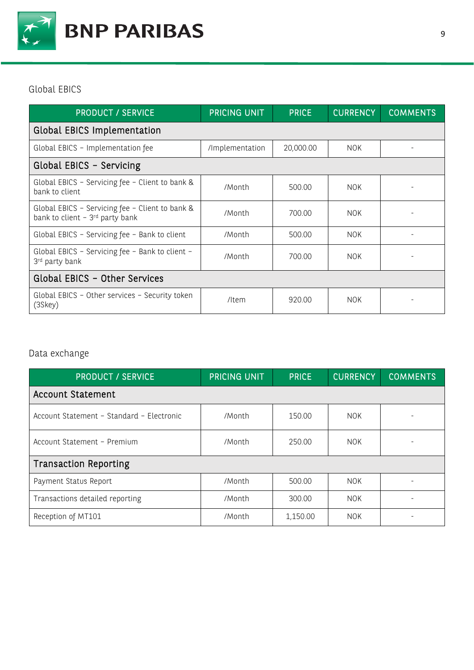

Global EBICS

| <b>PRODUCT / SERVICE</b>                                                                        | PRICING UNIT    | <b>PRICE</b> | <b>CURRENCY</b> | <b>COMMENTS</b> |
|-------------------------------------------------------------------------------------------------|-----------------|--------------|-----------------|-----------------|
| <b>Global EBICS Implementation</b>                                                              |                 |              |                 |                 |
| Global EBICS - Implementation fee                                                               | /Implementation | 20,000.00    | <b>NOK</b>      |                 |
| Global EBICS - Servicing                                                                        |                 |              |                 |                 |
| Global EBICS - Servicing fee - Client to bank &<br>bank to client                               | /Month          | 500.00       | <b>NOK</b>      |                 |
| Global EBICS - Servicing fee - Client to bank &<br>bank to client $-3$ <sup>rd</sup> party bank | /Month          | 700.00       | <b>NOK</b>      |                 |
| Global EBICS - Servicing fee - Bank to client                                                   | /Month          | 500.00       | <b>NOK</b>      |                 |
| Global EBICS - Servicing fee - Bank to client -<br>3rd party bank                               | /Month          | 700.00       | NOK.            |                 |
| Global EBICS - Other Services                                                                   |                 |              |                 |                 |
| Global EBICS - Other services - Security token<br>(3Skey)                                       | /Item           | 920.00       | <b>NOK</b>      |                 |

## Data exchange

| <b>PRODUCT / SERVICE</b>                  | PRICING UNIT | <b>PRICE</b> | <b>CURRENCY</b> | <b>COMMENTS</b> |
|-------------------------------------------|--------------|--------------|-----------------|-----------------|
| <b>Account Statement</b>                  |              |              |                 |                 |
| Account Statement - Standard - Electronic | /Month       | 150.00       | <b>NOK</b>      |                 |
| Account Statement - Premium               | /Month       | 250.00       | <b>NOK</b>      |                 |
| <b>Transaction Reporting</b>              |              |              |                 |                 |
| Payment Status Report                     | /Month       | 500.00       | <b>NOK</b>      |                 |
| Transactions detailed reporting           | /Month       | 300.00       | <b>NOK</b>      |                 |
| Reception of MT101                        | /Month       | 1,150.00     | <b>NOK</b>      |                 |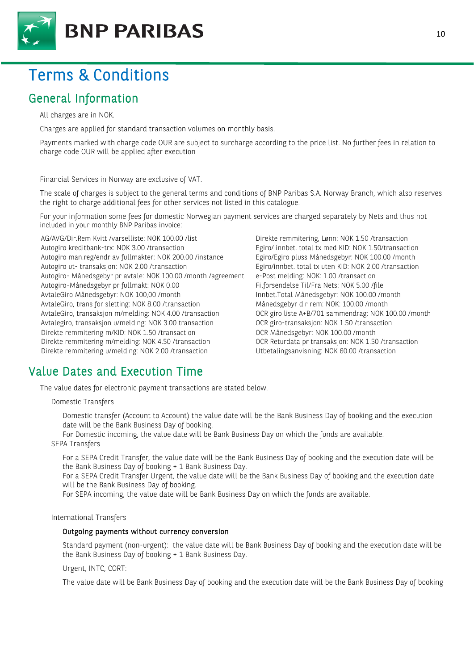

## Terms & Conditions

## General Information

All charges are in NOK.

Charges are applied for standard transaction volumes on monthly basis.

Payments marked with charge code OUR are subject to surcharge according to the price list. No further fees in relation to charge code OUR will be applied after execution

Financial Services in Norway are exclusive of VAT.

The scale of charges is subject to the general terms and conditions of BNP Paribas S.A. Norway Branch, which also reserves the right to charge additional fees for other services not listed in this catalogue.

For your information some fees for domestic Norwegian payment services are charged separately by Nets and thus not included in your monthly BNP Paribas invoice:

AG/AVG/Dir.Rem Kvitt /varselliste: NOK 100.00 /list Direkte remmitering, Lønn: NOK 1.50 /transaction Autogiro kreditbank-trx: NOK 3.00 /transaction Egiro/ innbet. total tx med KID: NOK 1.50/transaction Autogiro man.reg/endr av fullmakter: NOK 200.00 /instance Egiro/Egiro pluss Månedsgebyr: NOK 100.00 /month Autogiro ut- transaksjon: NOK 2.00 /transaction Egiro/innbet. total tx uten KID: NOK 2.00 /transaction Autogiro- Månedsgebyr pr avtale: NOK 100.00 /month /agreement e-Post melding: NOK: 1.00 /transaction Autogiro-Månedsgebyr pr fullmakt: NOK 0.00 Filmet Filforsendelse Til/Fra Nets: NOK 5.00 /file AvtaleGiro Månedsgebyr: NOK 100,00 /month Innbet.Total Månedsgebyr: NOK 100.00 /month AvtaleGiro, trans for sletting: NOK 8.00 /transaction Månedsgebyr dir rem: NOK: 100.00 /month AvtaleGiro, transaksjon m/melding: NOK 4.00 /transaction OCR giro liste A+B/701 sammendrag: NOK 100.00 /month Avtalegiro, transaksjon u/melding: NOK 3.00 transaction OCR giro-transaksjon: NOK 1.50 /transaction Direkte remmitering m/KID: NOK 1.50 /transaction OCR Månedsgebyr: NOK 100.00 /month Direkte remmitering m/melding: NOK 4.50 /transaction OCR Returdata pr transaksjon: NOK 1.50 /transaction Direkte remmitering u/melding: NOK 2.00 /transaction Utbetalingsanvisning: NOK 60.00 /transaction

### Value Dates and Execution Time

The value dates for electronic payment transactions are stated below.

Domestic Transfers

Domestic transfer (Account to Account) the value date will be the Bank Business Day of booking and the execution date will be the Bank Business Day of booking.

For Domestic incoming, the value date will be Bank Business Day on which the funds are available. SEPA Transfers

For a SEPA Credit Transfer, the value date will be the Bank Business Day of booking and the execution date will be the Bank Business Day of booking + 1 Bank Business Day.

For a SEPA Credit Transfer Urgent, the value date will be the Bank Business Day of booking and the execution date will be the Bank Business Day of booking.

For SEPA incoming, the value date will be Bank Business Day on which the funds are available.

#### International Transfers

#### Outgoing payments without currency conversion

Standard payment (non-urgent): the value date will be Bank Business Day of booking and the execution date will be the Bank Business Day of booking + 1 Bank Business Day.

Urgent, INTC, CORT:

The value date will be Bank Business Day of booking and the execution date will be the Bank Business Day of booking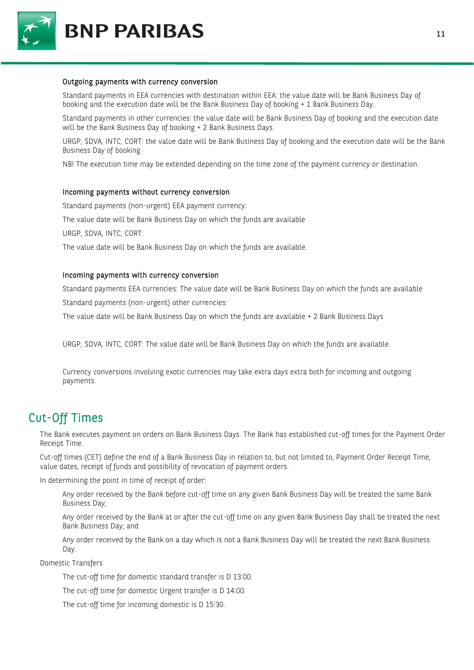

**BNP PARIBAS** 

#### Outgoing payments with currency conversion

Standard payments in EEA currencies with destination within EEA: the value date will be Bank Business Day of booking and the execution date will be the Bank Business Day of booking + 1 Bank Business Day.

Standard payments in other currencies: the value date will be Bank Business Day of booking and the execution date will be the Bank Business Day of booking + 2 Bank Business Days.

URGP, SDVA, INTC, CORT: the value date will be Bank Business Day of booking and the execution date will be the Bank Business Day of booking

NB! The execution time may be extended depending on the time zone of the payment currency or destination.

#### Incoming payments without currency conversion

Standard payments (non-urgent) EEA payment currency:

The value date will be Bank Business Day on which the funds are available

URGP, SDVA, INTC, CORT:

The value date will be Bank Business Day on which the funds are available.

#### Incoming payments with currency conversion

Standard payments EEA currencies: The value date will be Bank Business Day on which the funds are available Standard payments (non-urgent) other currencies:

The value date will be Bank Business Day on which the funds are available + 2 Bank Business Days

URGP, SDVA, INTC, CORT: The value date will be Bank Business Day on which the funds are available.

Currency conversions involving exotic currencies may take extra days extra both for incoming and outgoing payments.

## Cut-Off Times

The Bank executes payment on orders on Bank Business Days. The Bank has established cut-off times for the Payment Order Receipt Time.

Cut-off times (CET) define the end of a Bank Business Day in relation to, but not limited to, Payment Order Receipt Time, value dates, receipt of funds and possibility of revocation of payment orders.

In determining the point in time of receipt of order:

Any order received by the Bank before cut-off time on any given Bank Business Day will be treated the same Bank Business Day;

Any order received by the Bank at or after the cut-off time on any given Bank Business Day shall be treated the next Bank Business Day; and

Any order received by the Bank on a day which is not a Bank Business Day will be treated the next Bank Business Day.

Domestic Transfers

The cut-off time for domestic standard transfer is D 13:00.

The cut-off time for domestic Urgent transfer is D 14:00.

The cut-off time for incoming domestic is D 15:30.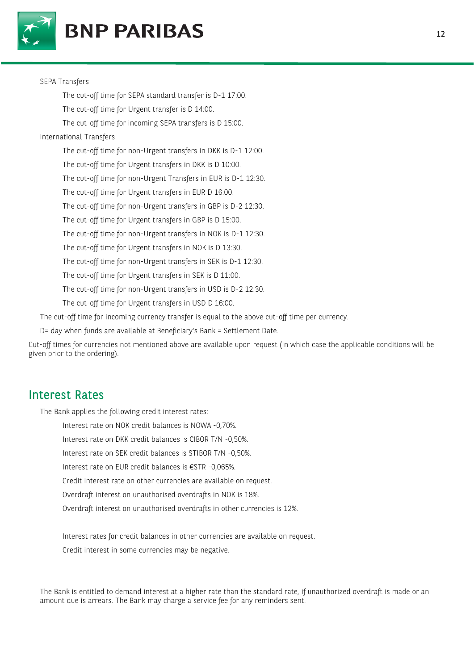



#### SEPA Transfers

The cut-off time for SEPA standard transfer is D-1 17:00.

The cut-off time for Urgent transfer is D 14:00.

The cut-off time for incoming SEPA transfers is D 15:00.

#### International Transfers

The cut-off time for non-Urgent transfers in DKK is D-1 12:00. The cut-off time for Urgent transfers in DKK is D 10:00. The cut-off time for non-Urgent Transfers in EUR is D-1 12:30. The cut-off time for Urgent transfers in EUR D 16:00. The cut-off time for non-Urgent transfers in GBP is D-2 12:30. The cut-off time for Urgent transfers in GBP is D 15:00. The cut-off time for non-Urgent transfers in NOK is D-1 12:30. The cut-off time for Urgent transfers in NOK is D 13:30. The cut-off time for non-Urgent transfers in SEK is D-1 12:30. The cut-off time for Urgent transfers in SEK is D 11:00. The cut-off time for non-Urgent transfers in USD is D-2 12:30. The cut-off time for Urgent transfers in USD D 16:00. The cut-off time for incoming currency transfer is equal to the above cut-off time per currency.

D= day when funds are available at Beneficiary's Bank = Settlement Date.

Cut-off times for currencies not mentioned above are available upon request (in which case the applicable conditions will be given prior to the ordering).

### Interest Rates

The Bank applies the following credit interest rates:

Interest rate on NOK credit balances is NOWA -0,70%.

Interest rate on DKK credit balances is CIBOR T/N -0,50%.

Interest rate on SEK credit balances is STIBOR T/N -0,50%.

Interest rate on EUR credit balances is €STR -0,065%.

Credit interest rate on other currencies are available on request.

Overdraft interest on unauthorised overdrafts in NOK is 18%.

Overdraft interest on unauthorised overdrafts in other currencies is 12%.

Interest rates for credit balances in other currencies are available on request.

Credit interest in some currencies may be negative.

The Bank is entitled to demand interest at a higher rate than the standard rate, if unauthorized overdraft is made or an amount due is arrears. The Bank may charge a service fee for any reminders sent.